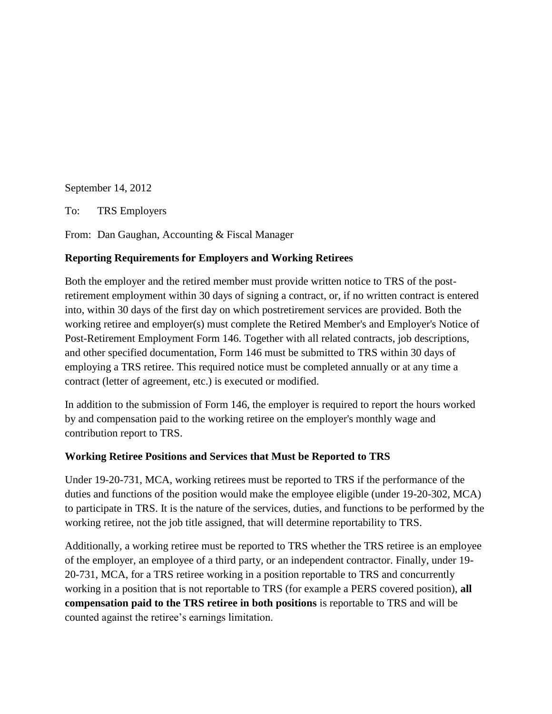September 14, 2012

To: TRS Employers

From: Dan Gaughan, Accounting & Fiscal Manager

## **Reporting Requirements for Employers and Working Retirees**

Both the employer and the retired member must provide written notice to TRS of the postretirement employment within 30 days of signing a contract, or, if no written contract is entered into, within 30 days of the first day on which postretirement services are provided. Both the working retiree and employer(s) must complete the Retired Member's and Employer's Notice of Post-Retirement Employment Form 146. Together with all related contracts, job descriptions, and other specified documentation, Form 146 must be submitted to TRS within 30 days of employing a TRS retiree. This required notice must be completed annually or at any time a contract (letter of agreement, etc.) is executed or modified.

In addition to the submission of Form 146, the employer is required to report the hours worked by and compensation paid to the working retiree on the employer's monthly wage and contribution report to TRS.

## **Working Retiree Positions and Services that Must be Reported to TRS**

Under 19-20-731, MCA, working retirees must be reported to TRS if the performance of the duties and functions of the position would make the employee eligible (under 19-20-302, MCA) to participate in TRS. It is the nature of the services, duties, and functions to be performed by the working retiree, not the job title assigned, that will determine reportability to TRS.

Additionally, a working retiree must be reported to TRS whether the TRS retiree is an employee of the employer, an employee of a third party, or an independent contractor. Finally, under 19- 20-731, MCA, for a TRS retiree working in a position reportable to TRS and concurrently working in a position that is not reportable to TRS (for example a PERS covered position), **all compensation paid to the TRS retiree in both positions** is reportable to TRS and will be counted against the retiree's earnings limitation.